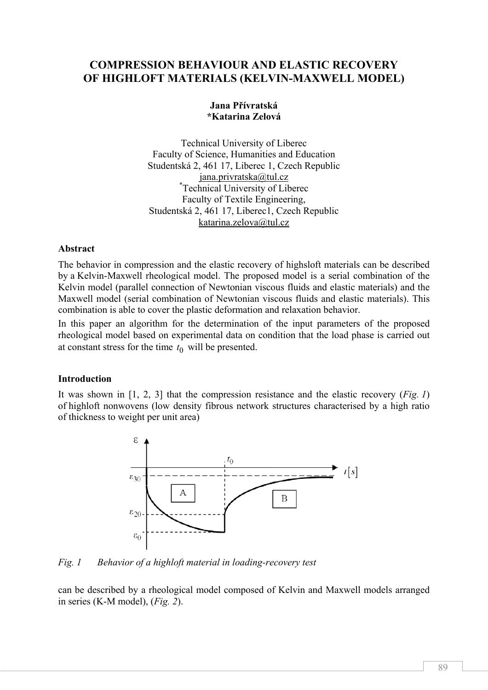# **COMPRESSION BEHAVIOUR AND ELASTIC RECOVERY OF HIGHLOFT MATERIALS (KELVIN-MAXWELL MODEL)**

### **Jana Přívratská \*Katarina Zelová**

Technical University of Liberec Faculty of Science, Humanities and Education Studentská 2, 461 17, Liberec 1, Czech Republic jana.privratska@tul.cz \* Technical University of Liberec Faculty of Textile Engineering, Studentská 2, 461 17, Liberec1, Czech Republic katarina.zelova@tul.cz

### **Abstract**

The behavior in compression and the elastic recovery of highsloft materials can be described by a Kelvin-Maxwell rheological model. The proposed model is a serial combination of the Kelvin model (parallel connection of Newtonian viscous fluids and elastic materials) and the Maxwell model (serial combination of Newtonian viscous fluids and elastic materials). This combination is able to cover the plastic deformation and relaxation behavior.

In this paper an algorithm for the determination of the input parameters of the proposed rheological model based on experimental data on condition that the load phase is carried out at constant stress for the time  $t_0$  will be presented.

## **Introduction**

It was shown in [1, 2, 3] that the compression resistance and the elastic recovery (*Fig. 1*) of highloft nonwovens (low density fibrous network structures characterised by a high ratio of thickness to weight per unit area)



*Fig. 1 Behavior of a highloft material in loading-recovery test* 

can be described by a rheological model composed of Kelvin and Maxwell models arranged in series (K-M model), (*Fig. 2*).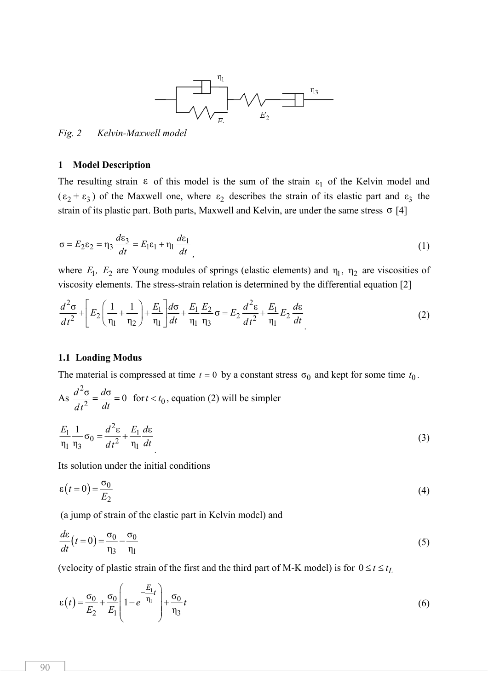

*Fig. 2 Kelvin-Maxwell model* 

### **1 Model Description**

The resulting strain  $\varepsilon$  of this model is the sum of the strain  $\varepsilon_1$  of the Kelvin model and  $(\epsilon_2 + \epsilon_3)$  of the Maxwell one, where  $\epsilon_2$  describes the strain of its elastic part and  $\epsilon_3$  the strain of its plastic part. Both parts, Maxwell and Kelvin, are under the same stress  $\sigma$  [4]

$$
\sigma = E_2 \varepsilon_2 = \eta_3 \frac{d\varepsilon_3}{dt} = E_1 \varepsilon_1 + \eta_1 \frac{d\varepsilon_1}{dt}
$$
\n(1)

where  $E_1$ ,  $E_2$  are Young modules of springs (elastic elements) and  $\eta_1$ ,  $\eta_2$  are viscosities of viscosity elements. The stress-strain relation is determined by the differential equation [2]

$$
\frac{d^2\sigma}{dt^2} + \left[ E_2 \left( \frac{1}{\eta_1} + \frac{1}{\eta_2} \right) + \frac{E_1}{\eta_1} \right] \frac{d\sigma}{dt} + \frac{E_1}{\eta_1} \frac{E_2}{\eta_3} \sigma = E_2 \frac{d^2 \varepsilon}{dt^2} + \frac{E_1}{\eta_1} E_2 \frac{d\varepsilon}{dt}
$$
(2)

#### **1.1 Loading Modus**

The material is compressed at time  $t = 0$  by a constant stress  $\sigma_0$  and kept for some time  $t_0$ .

As 
$$
\frac{d^2\sigma}{dt^2} = \frac{d\sigma}{dt} = 0
$$
 for  $t < t_0$ , equation (2) will be simpler

$$
\frac{E_1}{\eta_1} \frac{1}{\eta_3} \sigma_0 = \frac{d^2 \varepsilon}{dt^2} + \frac{E_1}{\eta_1} \frac{d\varepsilon}{dt}
$$
\n(3)

Its solution under the initial conditions

$$
\varepsilon(t=0) = \frac{\sigma_0}{E_2} \tag{4}
$$

(a jump of strain of the elastic part in Kelvin model) and

$$
\frac{d\varepsilon}{dt}(t=0) = \frac{\sigma_0}{\eta_3} - \frac{\sigma_0}{\eta_1}
$$
\n(5)

(velocity of plastic strain of the first and the third part of M-K model) is for  $0 \le t \le t_L$ 

$$
\varepsilon(t) = \frac{\sigma_0}{E_2} + \frac{\sigma_0}{E_1} \left( 1 - e^{-\frac{E_1}{\eta_1}} t \right) + \frac{\sigma_0}{\eta_3} t \tag{6}
$$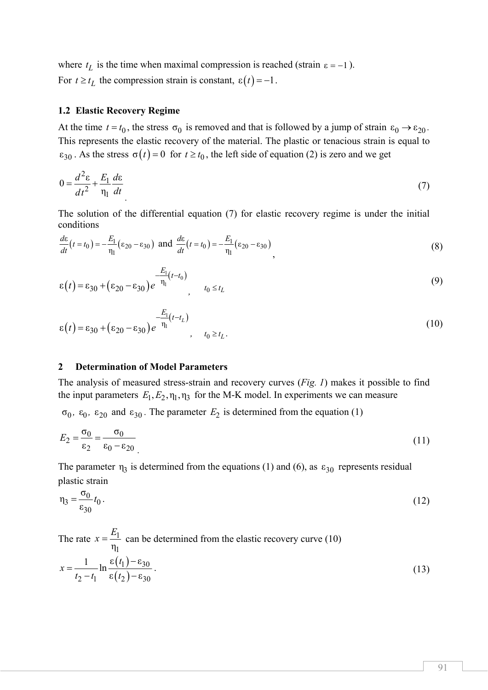where  $t_L$  is the time when maximal compression is reached (strain  $\varepsilon = -1$ ). For  $t \geq t_L$  the compression strain is constant,  $\varepsilon(t) = -1$ .

#### **1.2 Elastic Recovery Regime**

At the time  $t = t_0$ , the stress  $\sigma_0$  is removed and that is followed by a jump of strain  $\varepsilon_0 \rightarrow \varepsilon_{20}$ . This represents the elastic recovery of the material. The plastic or tenacious strain is equal to  $\varepsilon_{30}$ . As the stress  $\sigma(t) = 0$  for  $t \ge t_0$ , the left side of equation (2) is zero and we get

$$
0 = \frac{d^2 \varepsilon}{dt^2} + \frac{E_1}{\eta_1} \frac{d\varepsilon}{dt}
$$
 (7)

The solution of the differential equation (7) for elastic recovery regime is under the initial conditions

$$
\frac{d\varepsilon}{dt}(t=t_0) = -\frac{E_1}{\eta_1}(\varepsilon_{20} - \varepsilon_{30}) \text{ and } \frac{d\varepsilon}{dt}(t=t_0) = -\frac{E_1}{\eta_1}(\varepsilon_{20} - \varepsilon_{30})
$$
\n(8)

$$
\varepsilon(t) = \varepsilon_{30} + (\varepsilon_{20} - \varepsilon_{30})e^{-\frac{E_{1}}{\eta_{1}}(t - t_{0})}, \qquad t_{0} \leq t_{L}
$$
\n(9)

$$
\varepsilon(t) = \varepsilon_{30} + (\varepsilon_{20} - \varepsilon_{30})e^{-\frac{E_{1}}{\eta_{1}}(t - t_{L})}, \qquad t_{0} \ge t_{L}.
$$
\n(10)

### **2 Determination of Model Parameters**

The analysis of measured stress-strain and recovery curves (*Fig. 1*) makes it possible to find the input parameters  $E_1, E_2, \eta_1, \eta_3$  for the M-K model. In experiments we can measure

 $\sigma_0$ ,  $\varepsilon_0$ ,  $\varepsilon_{20}$  and  $\varepsilon_{30}$ . The parameter  $E_2$  is determined from the equation (1)

$$
E_2 = \frac{\sigma_0}{\epsilon_2} = \frac{\sigma_0}{\epsilon_0 - \epsilon_{20}}\tag{11}
$$

The parameter  $\eta_3$  is determined from the equations (1) and (6), as  $\varepsilon_{30}$  represents residual plastic strain

$$
\eta_3 = \frac{\sigma_0}{\epsilon_{30}} t_0 \,. \tag{12}
$$

The rate  $x = \frac{E_1}{1}$  $\eta_1$  $x = \frac{E_1}{2}$  can be determined from the elastic recovery curve (10)  $(t_1)$  $(t_2)$  $(1)$ <sup>-8</sup>30 2<sup>- $l_1$ </sup>  $\varepsilon$  $\left(\frac{l_2}{2}\right)$ <sup>- $\varepsilon$ </sup><sub>30</sub>  $\frac{1}{\ln \frac{\varepsilon(t_1)-\varepsilon}{\cdots}}$  $\varepsilon(t_2)-\varepsilon$ *t x*  $=\frac{1}{t_2-t_1}\ln\frac{\varepsilon(t_1)-\varepsilon_{30}}{\varepsilon(t_2)-\varepsilon_{30}}$ . (13)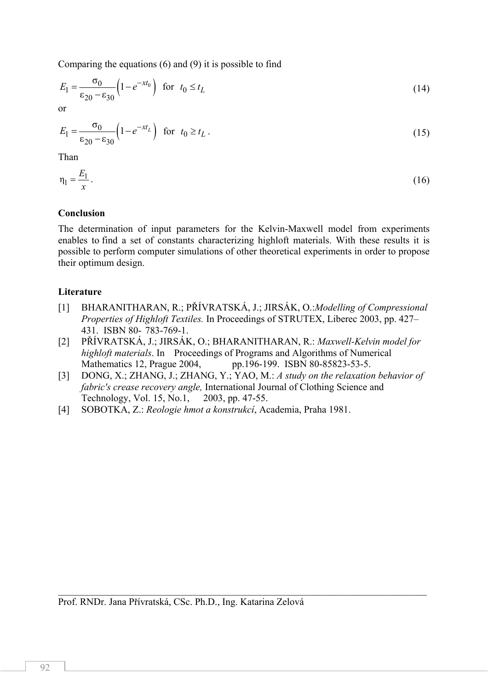Comparing the equations (6) and (9) it is possible to find

$$
E_1 = \frac{\sigma_0}{\epsilon_{20} - \epsilon_{30}} \left( 1 - e^{-xt_0} \right) \quad \text{for} \quad t_0 \le t_L \tag{14}
$$

or

$$
E_1 = \frac{\sigma_0}{\epsilon_{20} - \epsilon_{30}} \left( 1 - e^{-xt_L} \right) \quad \text{for} \quad t_0 \ge t_L \,. \tag{15}
$$

Than

$$
\eta_1 = \frac{E_1}{x} \,. \tag{16}
$$

## **Conclusion**

The determination of input parameters for the Kelvin-Maxwell model from experiments enables to find a set of constants characterizing highloft materials. With these results it is possible to perform computer simulations of other theoretical experiments in order to propose their optimum design.

## **Literature**

- [1] BHARANITHARAN, R.; PŘÍVRATSKÁ, J.; JIRSÁK, O.:*Modelling of Compressional Properties of Highloft Textiles.* In Proceedings of STRUTEX, Liberec 2003, pp. 427– 431. ISBN 80- 783-769-1.
- [2] PŘÍVRATSKÁ, J.; JIRSÁK, O.; BHARANITHARAN, R.: *Maxwell-Kelvin model for highloft materials*. In Proceedings of Programs and Algorithms of Numerical Mathematics 12, Prague 2004, pp.196-199. ISBN 80-85823-53-5.
- [3] DONG, X.; ZHANG, J.; ZHANG, Y.; YAO, M.: *A study on the relaxation behavior of fabric's crease recovery angle,* International Journal of Clothing Science and Technology, Vol. 15, No.1, 2003, pp. 47-55.

 $\_$  , and the contribution of the contribution of the contribution of the contribution of  $\mathcal{L}_\text{max}$ 

[4] SOBOTKA, Z.: *Reologie hmot a konstrukcí*, Academia, Praha 1981.

Prof. RNDr. Jana Přívratská, CSc. Ph.D., Ing. Katarina Zelová